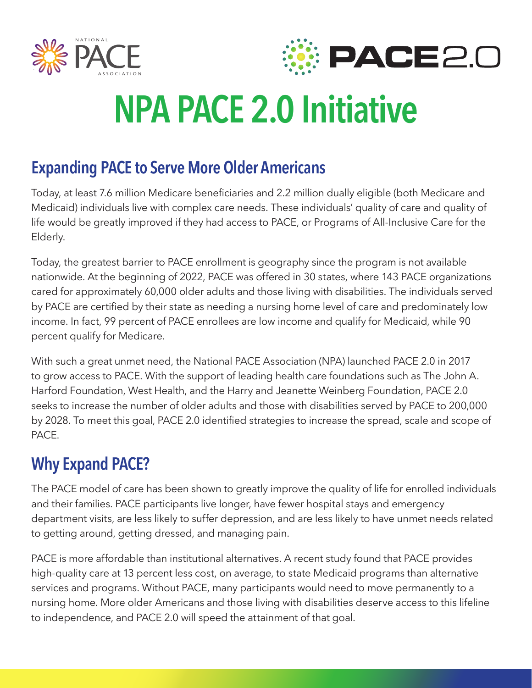



# **NPA PACE 2.0 Initiative**

## **Expanding PACE to Serve More Older Americans**

Today, at least 7.6 million Medicare beneficiaries and 2.2 million dually eligible (both Medicare and Medicaid) individuals live with complex care needs. These individuals' quality of care and quality of life would be greatly improved if they had access to PACE, or Programs of All-Inclusive Care for the Elderly.

Today, the greatest barrier to PACE enrollment is geography since the program is not available nationwide. At the beginning of 2022, PACE was offered in 30 states, where 143 PACE organizations cared for approximately 60,000 older adults and those living with disabilities. The individuals served by PACE are certified by their state as needing a nursing home level of care and predominately low income. In fact, 99 percent of PACE enrollees are low income and qualify for Medicaid, while 90 percent qualify for Medicare.

With such a great unmet need, the National PACE Association (NPA) launched PACE 2.0 in 2017 to grow access to PACE. With the support of leading health care foundations such as The John A. Harford Foundation, West Health, and the Harry and Jeanette Weinberg Foundation, PACE 2.0 seeks to increase the number of older adults and those with disabilities served by PACE to 200,000 by 2028. To meet this goal, PACE 2.0 identified strategies to increase the spread, scale and scope of PACE.

## **Why Expand PACE?**

The PACE model of care has been shown to greatly improve the quality of life for enrolled individuals and their families. PACE participants live longer, have fewer hospital stays and emergency department visits, are less likely to suffer depression, and are less likely to have unmet needs related to getting around, getting dressed, and managing pain.

PACE is more affordable than institutional alternatives. A recent study found that PACE provides high-quality care at 13 percent less cost, on average, to state Medicaid programs than alternative services and programs. Without PACE, many participants would need to move permanently to a nursing home. More older Americans and those living with disabilities deserve access to this lifeline to independence, and PACE 2.0 will speed the attainment of that goal.